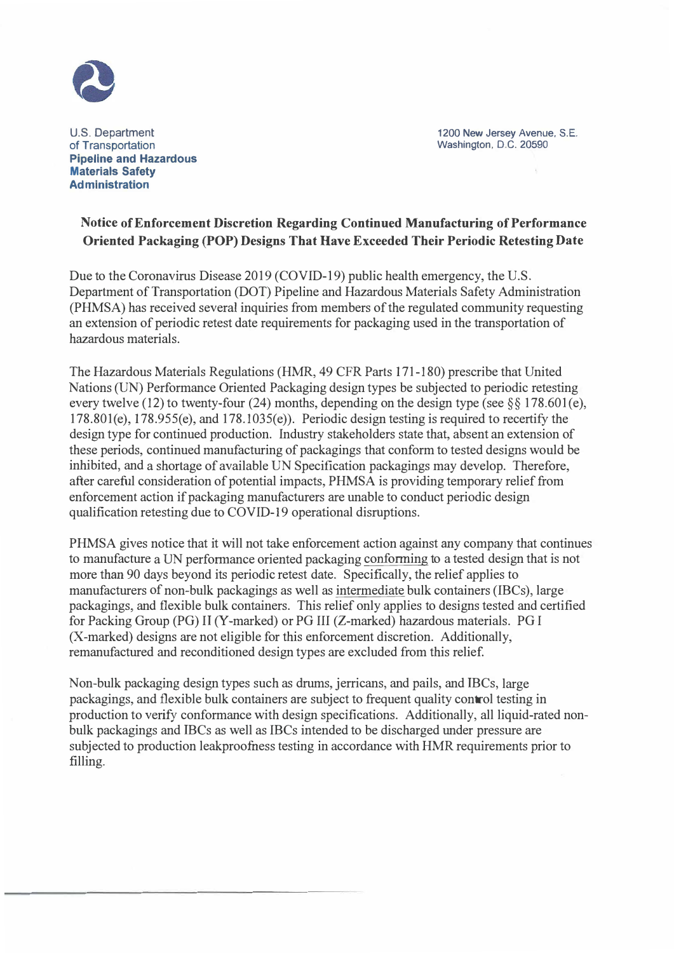

U.S. Department of Transportation **Pipeline and Hazardous Materials Safety Ad ministration** 

1200 New Jersey Avenue, S.E. Washington, D.C. 20590

## **Notice of Enforcement Discretion Regarding Continued Manufacturing of Performance Oriented Packaging (POP) Designs That Have Exceeded Their Periodic Retesting Date**

Due to the Coronavirus Disease 2019 (COVID-19) public health emergency, the U.S. Department of Transportation (DOT) Pipeline and Hazardous Materials Safety Administration (PHMSA) has received several inquiries from members of the regulated community requesting an extension of periodic retest date requirements for packaging used in the transportation of hazardous materials.

The Hazardous Materials Regulations (HMR, 49 CFR Parts 171-180) prescribe that United Nations (UN) Performance Oriented Packaging design types be subjected to periodic retesting every twelve (12) to twenty-four (24) months, depending on the design type (see  $\S$ § 178.601(e),  $178.801(e)$ ,  $178.955(e)$ , and  $178.1035(e)$ ). Periodic design testing is required to recertify the design type for continued production. Industry stakeholders state that, absent an extension of these periods, continued manufacturing of packagings that conform to tested designs would be inhibited, and a shortage of available UN Specification packagings may develop. Therefore, after careful consideration of potential impacts, PHMSA is providing temporary relief from enforcement action if packaging manufacturers are unable to conduct periodic design qualification retesting due to COVID-19 operational disruptions.

PHMSA gives notice that it will not take enforcement action against any company that continues to manufacture a UN performance oriented packaging conforming to a tested design that is not more than 90 days beyond its periodic retest date. Specifically, the relief applies to manufacturers of non-bulk packagings as well as intermediate bulk containers (IBCs), large packagings, and flexible bulk containers. This relief only applies to designs tested and certified for Packing Group (PG) II (Y-marked) or PG III (Z-marked) hazardous materials. PG I (X-marked) designs are not eligible for this enforcement discretion. Additionally, remanufactured and reconditioned design types are excluded from this relief.

Non-bulk packaging design types such as drums, jerricans, and pails, and IBCs, large packagings, and flexible bulk containers are subject to frequent quality control testing in production to verify conformance with design specifications. Additionally, all liquid-rated nonbulk packagings and IBCs as well as IBCs intended to be discharged under pressure are subjected to production leakproofness testing in accordance with HMR requirements prior to filling.